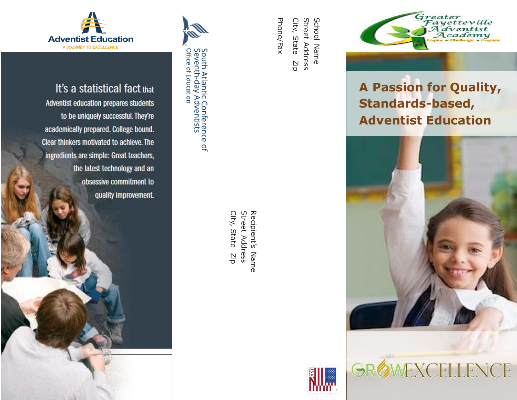

It's a statistical fact that Adventist education prepares students to be uniquely successful. They're academically prepared. College bound. Clear thinkers motivated to achieve. The ingredients are simple: Great teachers, the latest technology and an obsessive commitment to quality improvement.



**Street Address** Recipient's Name City, State City, State Zip Street AddressRecipient's Name  $\frac{1}{2}$ 

City, State

City, State

Phone/Fax

Phone/Fax

Zip

Street Address School Name

Street Address

School Name





# **A Passion for Quality, Standards-based, Adventist Education**